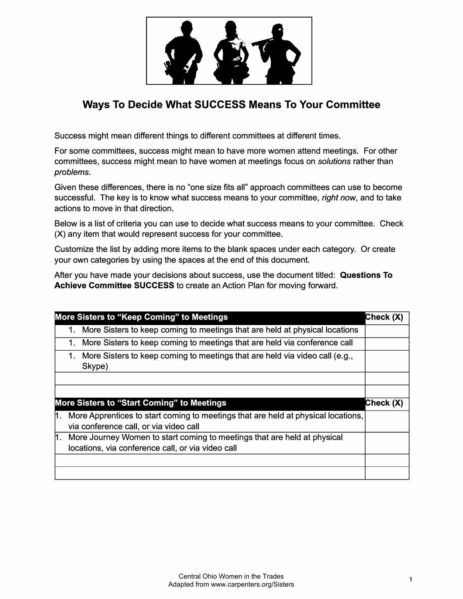

## **Ways To Decide What SUCCESS Means To Your Committee**

Success might mean different things to different committees at different times.

For some committees, success might mean to have more women attend meetings. For other committees, success might mean to have women at meetings focus on *solutions* rather than *problems.* 

Given these differences, there is no "one size fits all" approach committees can use to become successful. The key is to know what success means to your committee, *right now,* and to take actions to move in that direction.

Below is a list of criteria you can use to decide what success means to your committee. Check (X) any item that would represent success for your committee.

Customize the list by adding more items to the blank spaces under each category. Or create your own categories by using the spaces at the end of this document.

After you have made your decisions about success, use the document titled: **Questions To Achieve Committee SUCCESS** to create an Action Plan for moving forward.

|     |    | More Sisters to "Keep Coming" to Meetings                                                                                     | Check (X) |
|-----|----|-------------------------------------------------------------------------------------------------------------------------------|-----------|
|     |    | 1. More Sisters to keep coming to meetings that are held at physical locations                                                |           |
|     |    | More Sisters to keep coming to meetings that are held via conference call                                                     |           |
|     | 1. | More Sisters to keep coming to meetings that are held via video call (e.g.,<br>Skype)                                         |           |
|     |    |                                                                                                                               |           |
|     |    |                                                                                                                               |           |
|     |    | More Sisters to "Start Coming" to Meetings                                                                                    | Check (X) |
| l1. |    | More Apprentices to start coming to meetings that are held at physical locations,<br>via conference call, or via video call   |           |
| 1.  |    | More Journey Women to start coming to meetings that are held at physical<br>locations, via conference call, or via video call |           |
|     |    |                                                                                                                               |           |
|     |    |                                                                                                                               |           |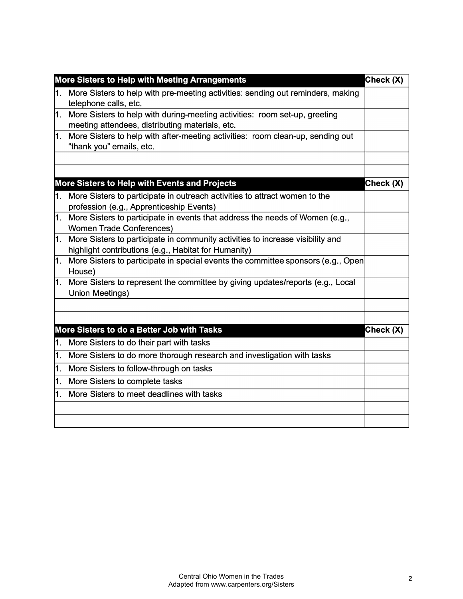| Check (X)<br>More Sisters to Help with Meeting Arrangements |                                                                                                                                        |           |  |
|-------------------------------------------------------------|----------------------------------------------------------------------------------------------------------------------------------------|-----------|--|
| 1.                                                          | More Sisters to help with pre-meeting activities: sending out reminders, making<br>telephone calls, etc.                               |           |  |
| 1.                                                          | More Sisters to help with during-meeting activities: room set-up, greeting<br>meeting attendees, distributing materials, etc.          |           |  |
| 1.                                                          | More Sisters to help with after-meeting activities: room clean-up, sending out<br>"thank you" emails, etc.                             |           |  |
|                                                             |                                                                                                                                        |           |  |
|                                                             | More Sisters to Help with Events and Projects                                                                                          | Check (X) |  |
|                                                             | 1. More Sisters to participate in outreach activities to attract women to the<br>profession (e.g., Apprenticeship Events)              |           |  |
| 1.                                                          | More Sisters to participate in events that address the needs of Women (e.g.,<br><b>Women Trade Conferences)</b>                        |           |  |
| 1.                                                          | More Sisters to participate in community activities to increase visibility and<br>highlight contributions (e.g., Habitat for Humanity) |           |  |
| 1.                                                          | More Sisters to participate in special events the committee sponsors (e.g., Open<br>House)                                             |           |  |
| 1.                                                          | More Sisters to represent the committee by giving updates/reports (e.g., Local<br><b>Union Meetings)</b>                               |           |  |
|                                                             |                                                                                                                                        |           |  |
|                                                             |                                                                                                                                        |           |  |
|                                                             | More Sisters to do a Better Job with Tasks                                                                                             | Check (X) |  |
| 1.                                                          | More Sisters to do their part with tasks                                                                                               |           |  |
| 1.                                                          | More Sisters to do more thorough research and investigation with tasks                                                                 |           |  |
| 1.                                                          | More Sisters to follow-through on tasks                                                                                                |           |  |
|                                                             | 1. More Sisters to complete tasks                                                                                                      |           |  |
|                                                             | 1. More Sisters to meet deadlines with tasks                                                                                           |           |  |
|                                                             |                                                                                                                                        |           |  |
|                                                             |                                                                                                                                        |           |  |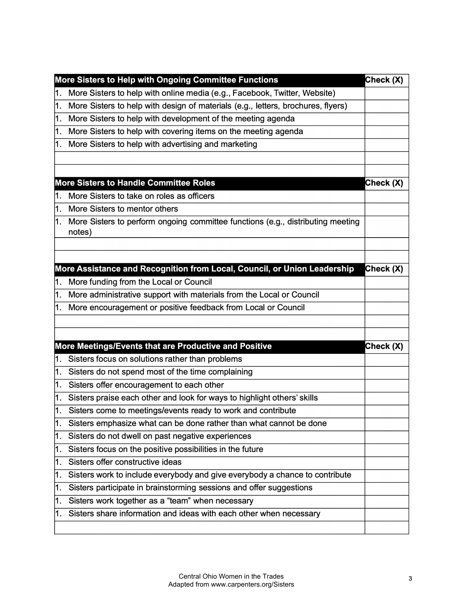|    | More Sisters to Help with Ongoing Committee Functions                                     | Check (X) |
|----|-------------------------------------------------------------------------------------------|-----------|
| 1. | More Sisters to help with online media (e.g., Facebook, Twitter, Website)                 |           |
| 1. | More Sisters to help with design of materials (e.g., letters, brochures, flyers)          |           |
| 1. | More Sisters to help with development of the meeting agenda                               |           |
| 1. | More Sisters to help with covering items on the meeting agenda                            |           |
| 1. | More Sisters to help with advertising and marketing                                       |           |
|    |                                                                                           |           |
|    |                                                                                           |           |
|    | <b>More Sisters to Handle Committee Roles</b>                                             | Check (X) |
| 1. | More Sisters to take on roles as officers                                                 |           |
| 1. | More Sisters to mentor others                                                             |           |
| 1. | More Sisters to perform ongoing committee functions (e.g., distributing meeting<br>notes) |           |
|    |                                                                                           |           |
|    |                                                                                           |           |
|    | More Assistance and Recognition from Local, Council, or Union Leadership                  | Check (X) |
| 1. | More funding from the Local or Council                                                    |           |
| 1. | More administrative support with materials from the Local or Council                      |           |
| 1. | More encouragement or positive feedback from Local or Council                             |           |
|    |                                                                                           |           |
|    |                                                                                           |           |
|    | More Meetings/Events that are Productive and Positive                                     | Check (X) |
| 1. | Sisters focus on solutions rather than problems                                           |           |
| 1. | Sisters do not spend most of the time complaining                                         |           |
| 1. | Sisters offer encouragement to each other                                                 |           |
| 1. | Sisters praise each other and look for ways to highlight others' skills                   |           |
| 1. | Sisters come to meetings/events ready to work and contribute                              |           |
| 1. | Sisters emphasize what can be done rather than what cannot be done                        |           |
| 1. | Sisters do not dwell on past negative experiences                                         |           |
| 1. | Sisters focus on the positive possibilities in the future                                 |           |
| 1. | Sisters offer constructive ideas                                                          |           |
| 1. | Sisters work to include everybody and give everybody a chance to contribute               |           |
| 1. | Sisters participate in brainstorming sessions and offer suggestions                       |           |
| 1. | Sisters work together as a "team" when necessary                                          |           |
| 1. | Sisters share information and ideas with each other when necessary                        |           |
|    |                                                                                           |           |